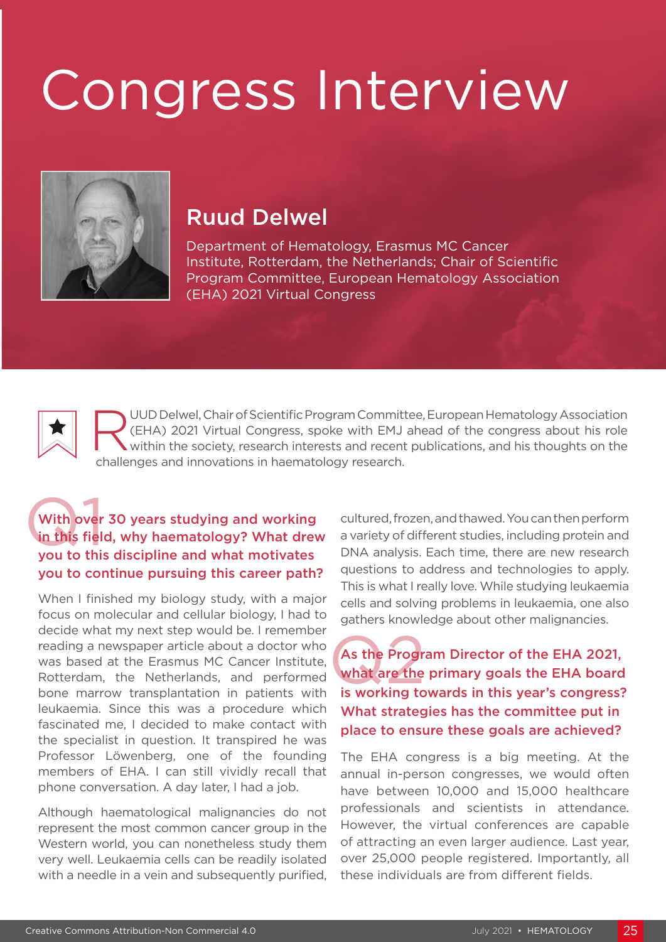# Congress Interview



### Ruud Delwel

Department of Hematology, Erasmus MC Cancer Institute, Rotterdam, the Netherlands; Chair of Scientific Program Committee, European Hematology Association (EHA) 2021 Virtual Congress

UUD Delwel, Chair of Scientific Program Committee, European Hematology Association<br>
(EHA) 2021 Virtual Congress, spoke with EMJ ahead of the congress about his role<br>
within the society, research interests and recent public (EHA) 2021 Virtual Congress, spoke with EMJ ahead of the congress about his role within the society, research interests and recent publications, and his thoughts on the challenges and innovations in haematology research.

#### With over<br>in this field<br>you to this With over 30 years studying and working in this field, why haematology? What drew you to this discipline and what motivates you to continue pursuing this career path?

When I finished my biology study, with a major focus on molecular and cellular biology, I had to decide what my next step would be. I remember reading a newspaper article about a doctor who was based at the Erasmus MC Cancer Institute, Rotterdam, the Netherlands, and performed bone marrow transplantation in patients with leukaemia. Since this was a procedure which fascinated me, I decided to make contact with the specialist in question. It transpired he was Professor Löwenberg, one of the founding members of EHA. I can still vividly recall that phone conversation. A day later, I had a job.

Although haematological malignancies do not represent the most common cancer group in the Western world, you can nonetheless study them very well. Leukaemia cells can be readily isolated with a needle in a vein and subsequently purified, cultured, frozen, and thawed. You can then perform a variety of different studies, including protein and DNA analysis. Each time, there are new research questions to address and technologies to apply. This is what I really love. While studying leukaemia cells and solving problems in leukaemia, one also gathers knowledge about other malignancies.

As the Progressian<br>what are the<br>is working to As the Program Director of the EHA 2021, what are the primary goals the EHA board is working towards in this year's congress? What strategies has the committee put in place to ensure these goals are achieved?

The EHA congress is a big meeting. At the annual in-person congresses, we would often have between 10,000 and 15,000 healthcare professionals and scientists in attendance. However, the virtual conferences are capable of attracting an even larger audience. Last year, over 25,000 people registered. Importantly, all these individuals are from different fields.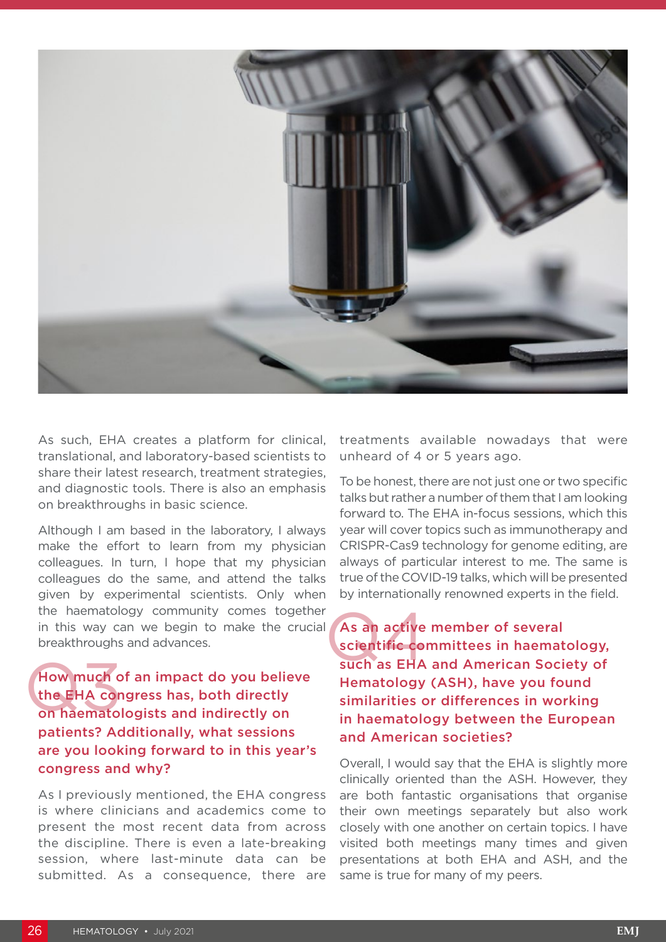

As such, EHA creates a platform for clinical, translational, and laboratory-based scientists to share their latest research, treatment strategies, and diagnostic tools. There is also an emphasis on breakthroughs in basic science.

Although I am based in the laboratory, I always make the effort to learn from my physician colleagues. In turn, I hope that my physician colleagues do the same, and attend the talks given by experimental scientists. Only when the haematology community comes together in this way can we begin to make the crucial breakthroughs and advances.

How much of an impact do you believe the EHA congress has, both directly on haematologists and indirectly on patients? Additionally, what sessions are you looking forward to in this year's congress and why? How much c<br>the EHA cor<br>on haemato

As I previously mentioned, the EHA congress is where clinicians and academics come to present the most recent data from across the discipline. There is even a late-breaking session, where last-minute data can be submitted. As a consequence, there are

treatments available nowadays that were unheard of 4 or 5 years ago.

To be honest, there are not just one or two specific talks but rather a number of them that I am looking forward to. The EHA in-focus sessions, which this year will cover topics such as immunotherapy and CRISPR-Cas9 technology for genome editing, are always of particular interest to me. The same is true of the COVID-19 talks, which will be presented by internationally renowned experts in the field.

As an active member of several scientific committees in haematology, such as EHA and American Society of Hematology (ASH), have you found similarities or differences in working in haematology between the European and American societies? As an active<br>scientific co<br>such as EHA

Overall, I would say that the EHA is slightly more clinically oriented than the ASH. However, they are both fantastic organisations that organise their own meetings separately but also work closely with one another on certain topics. I have visited both meetings many times and given presentations at both EHA and ASH, and the same is true for many of my peers.